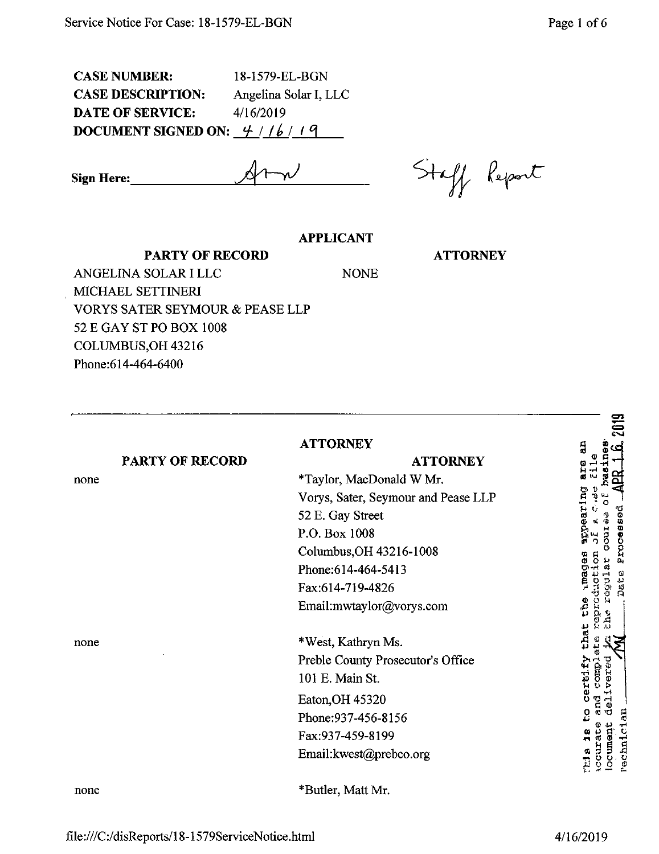CASE NUMBER: 18-1579-EL-BGN CASE DESCRIPTION: Angelina Solar I, LLC DATE OF SERVICE:  $4/16/2019$ **DOCUMENT SIGNED ON:**  $\frac{4}{16}$  / *l i 1 q* 

**Sign Here:\_** *—iJ -iJ!*

*6 !*

## **APPLICANT**

**ATTORNEY**

ANGELINA SOLAR I LLC NONE MICHAEL SETTINERl VORYS SATER SEYMOUR & PEASE LLP 52 E GAY ST PO BOX 1008 COLUMBUS,OH 43216 Phone:614-464-6400

**PARTY OF RECORD**

| PARTY OF RECORD<br>none | <b>ATTORNEY</b><br><b>ATTORNEY</b><br>*Taylor, MacDonald W Mr.<br>Vorys, Sater, Seymour and Pease LLP<br>52 E. Gay Street<br>P.O. Box 1008<br>Columbus, OH 43216-1008<br>Phone: 614-464-5413<br>Fax:614-719-4826<br>Email:mwtaylor@vorys.com | ສ<br>ō<br>m<br><b>DEOCTO</b><br>Ŝ,<br>ងី |
|-------------------------|----------------------------------------------------------------------------------------------------------------------------------------------------------------------------------------------------------------------------------------------|------------------------------------------|
| none                    | *West, Kathryn Ms.<br>Preble County Prosecutor's Office<br>101 E. Main St.<br>Eaton, OH 45320<br>Phone: 937-456-8156<br>Fax:937-459-8199<br>Email:kwest@prebco.org                                                                           | inat:<br>DCUIL                           |
| none                    | *Butler, Matt Mr.                                                                                                                                                                                                                            |                                          |

 $\mathbf{r}$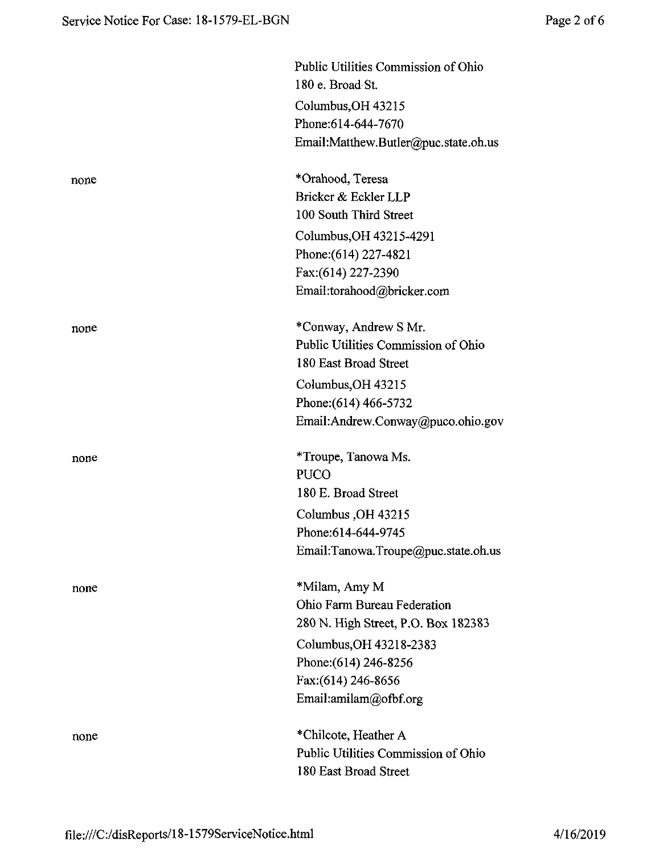|      | Public Utilities Commission of Ohio<br>180 e. Broad St. |
|------|---------------------------------------------------------|
|      | Columbus, OH 43215<br>Phone: 614-644-7670               |
|      | Email:Matthew.Butler@puc.state.oh.us                    |
| none | *Orahood, Teresa                                        |
|      | Bricker & Eckler LLP                                    |
|      | 100 South Third Street                                  |
|      | Columbus, OH 43215-4291                                 |
|      | Phone: (614) 227-4821                                   |
|      | Fax:(614) 227-2390                                      |
|      | Email:torahood@bricker.com                              |
| none | *Conway, Andrew S Mr.                                   |
|      | Public Utilities Commission of Ohio                     |
|      | 180 East Broad Street                                   |
|      | Columbus, OH 43215                                      |
|      | Phone: (614) 466-5732                                   |
|      | Email:Andrew.Conway@puco.ohio.gov                       |
| none | *Troupe, Tanowa Ms.                                     |
|      | <b>PUCO</b>                                             |
|      | 180 E. Broad Street                                     |
|      | Columbus, OH 43215                                      |
|      | Phone: 614-644-9745                                     |
|      | Email:Tanowa.Troupe@puc.state.oh.us                     |
| none | *Milam, Amy M                                           |
|      | Ohio Farm Bureau Federation                             |
|      | 280 N. High Street, P.O. Box 182383                     |
|      | Columbus, OH 43218-2383                                 |
|      | Phone: (614) 246-8256                                   |
|      | Fax: (614) 246-8656                                     |
|      | Email:amilam@ofbf.org                                   |
| none | *Chilcote, Heather A                                    |
|      | Public Utilities Commission of Ohio                     |
|      | 180 East Broad Street                                   |
|      |                                                         |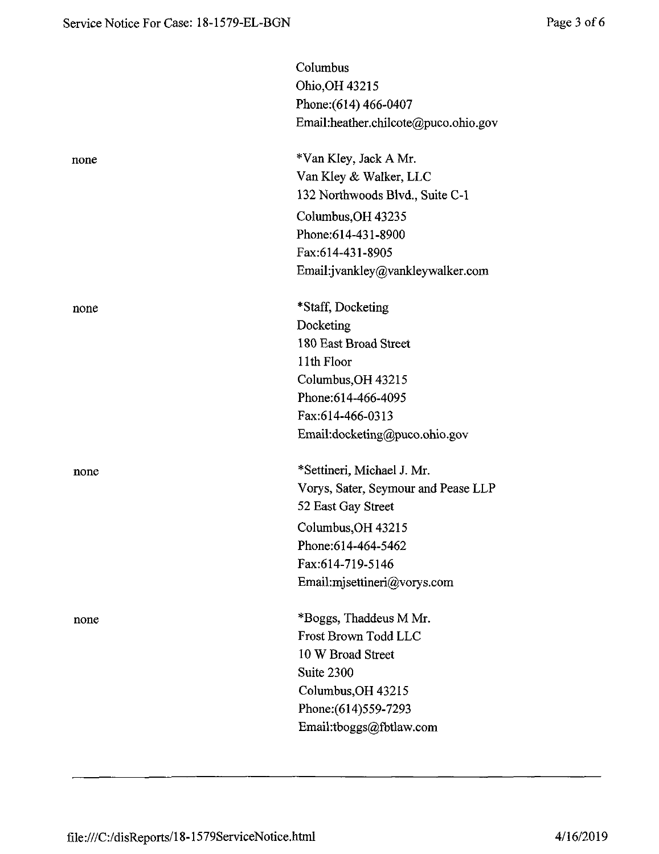|      | Columbus                             |
|------|--------------------------------------|
|      | Ohio, OH 43215                       |
|      | Phone: (614) 466-0407                |
|      | Email:heather.chilcote@puco.ohio.gov |
| none | *Van Kley, Jack A Mr.                |
|      | Van Kley & Walker, LLC               |
|      | 132 Northwoods Blvd., Suite C-1      |
|      | Columbus, OH 43235                   |
|      | Phone: 614-431-8900                  |
|      | Fax:614-431-8905                     |
|      | Email:jvankley@vankleywalker.com     |
| none | *Staff, Docketing                    |
|      | Docketing                            |
|      | 180 East Broad Street                |
|      | 11th Floor                           |
|      | Columbus, OH 43215                   |
|      | Phone: 614-466-4095                  |
|      | Fax:614-466-0313                     |
|      | Email:docketing@puco.ohio.gov        |
| none | *Settineri, Michael J. Mr.           |
|      | Vorys, Sater, Seymour and Pease LLP  |
|      | 52 East Gay Street                   |
|      | Columbus, OH 43215                   |
|      | Phone:614-464-5462                   |
|      | Fax:614-719-5146                     |
|      | Email:mjsettineri@vorys.com          |
| none | *Boggs, Thaddeus M Mr.               |
|      | Frost Brown Todd LLC                 |
|      | 10 W Broad Street                    |
|      | Suite 2300                           |
|      | Columbus, OH 43215                   |
|      | Phone: (614) 559-7293                |
|      | Email:tboggs@fbtlaw.com              |
|      |                                      |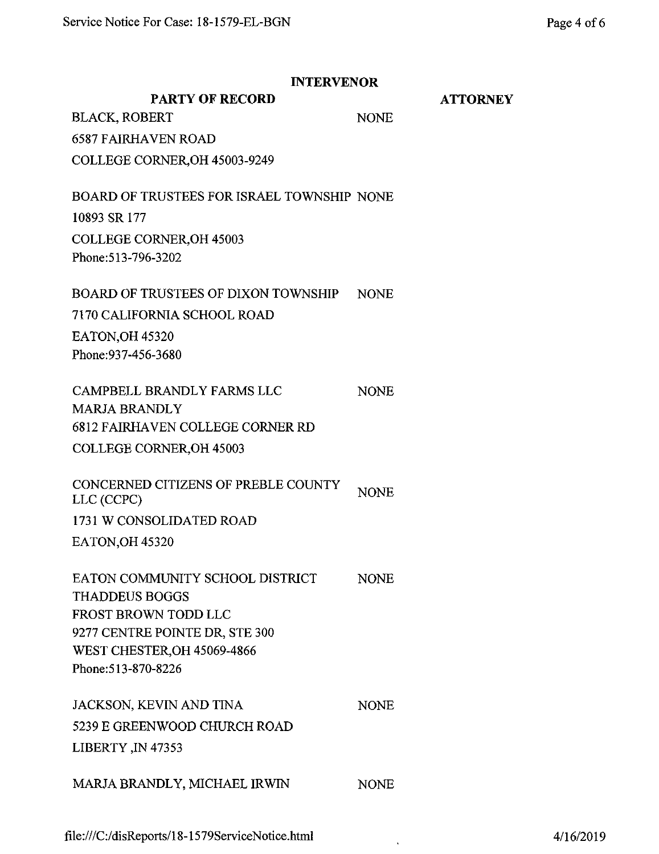|                                                                                                                                                                                 | <b>INTERVENOR</b> |                 |  |
|---------------------------------------------------------------------------------------------------------------------------------------------------------------------------------|-------------------|-----------------|--|
| <b>PARTY OF RECORD</b>                                                                                                                                                          |                   | <b>ATTORNEY</b> |  |
| <b>BLACK, ROBERT</b>                                                                                                                                                            | <b>NONE</b>       |                 |  |
| <b>6587 FAIRHAVEN ROAD</b>                                                                                                                                                      |                   |                 |  |
| COLLEGE CORNER, OH 45003-9249                                                                                                                                                   |                   |                 |  |
| BOARD OF TRUSTEES FOR ISRAEL TOWNSHIP NONE                                                                                                                                      |                   |                 |  |
| 10893 SR 177                                                                                                                                                                    |                   |                 |  |
| <b>COLLEGE CORNER, OH 45003</b><br>Phone: 513-796-3202                                                                                                                          |                   |                 |  |
| <b>BOARD OF TRUSTEES OF DIXON TOWNSHIP</b>                                                                                                                                      | <b>NONE</b>       |                 |  |
| 7170 CALIFORNIA SCHOOL ROAD                                                                                                                                                     |                   |                 |  |
| EATON, OH 45320<br>Phone: 937-456-3680                                                                                                                                          |                   |                 |  |
| CAMPBELL BRANDLY FARMS LLC<br><b>MARJA BRANDLY</b><br><b>6812 FAIRHAVEN COLLEGE CORNER RD</b>                                                                                   | <b>NONE</b>       |                 |  |
|                                                                                                                                                                                 |                   |                 |  |
| <b>COLLEGE CORNER, OH 45003</b>                                                                                                                                                 |                   |                 |  |
| CONCERNED CITIZENS OF PREBLE COUNTY<br>LLC (CCPC)                                                                                                                               | <b>NONE</b>       |                 |  |
| 1731 W CONSOLIDATED ROAD                                                                                                                                                        |                   |                 |  |
| EATON, OH 45320                                                                                                                                                                 |                   |                 |  |
| EATON COMMUNITY SCHOOL DISTRICT<br><b>THADDEUS BOGGS</b><br><b>FROST BROWN TODD LLC</b><br>9277 CENTRE POINTE DR, STE 300<br>WEST CHESTER, OH 45069-4866<br>Phone: 513-870-8226 | <b>NONE</b>       |                 |  |
| JACKSON, KEVIN AND TINA<br>5239 E GREENWOOD CHURCH ROAD<br>LIBERTY, IN 47353                                                                                                    | <b>NONE</b>       |                 |  |
| MARJA BRANDLY, MICHAEL IRWIN                                                                                                                                                    | <b>NONE</b>       |                 |  |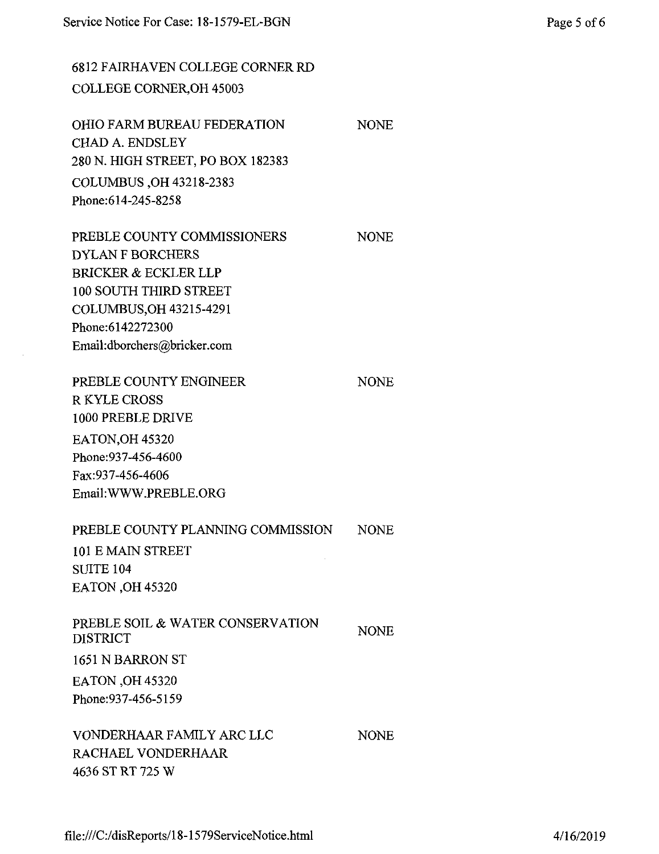6812 FAIRHAVEN COLLEGE CORNER RD COLLEGE CORNER,OH 45003

OHIO FARM BUREAU FEDERATION CHAD A. ENDSLEY 280 N. HIGH STREET, PO BOX 182383 COLUMBUS ,OH 43218-2383 Phone:614-245-8258

PREBLE COUNTY COMMISSIONERS DYLAN F BORCHERS BRICKER & ECKLER LLP 100 SOUTH THIRD STREET COLUMBUS,OH 43215-4291 Phone:6142272300 Em^l:dborchers@bricker.com

PREBLE COUNTY ENGINEER R KYLE CROSS 1000 PREBLE DRIVE EATON,OH 45320 Phone:937-456-4600 Fax:937-456-4606 Email:WWW.PREBLE.ORG NONE PREBLE COUNTY PLANNING COMMISSION 101 E MAIN STREET SUITE 104 EATON ,OH 45320 NONE

PREBLE SOIL & WATER CONSERVATION DISTRICT 1651 N BARRON ST EATON,OH 45320 Phone:937-456-5159 NONE

VONDERHAAR FAMILY ARC LLC RACHAEL VONDERHAAR 4636 ST RT 725 W

NONE

NONE

NONE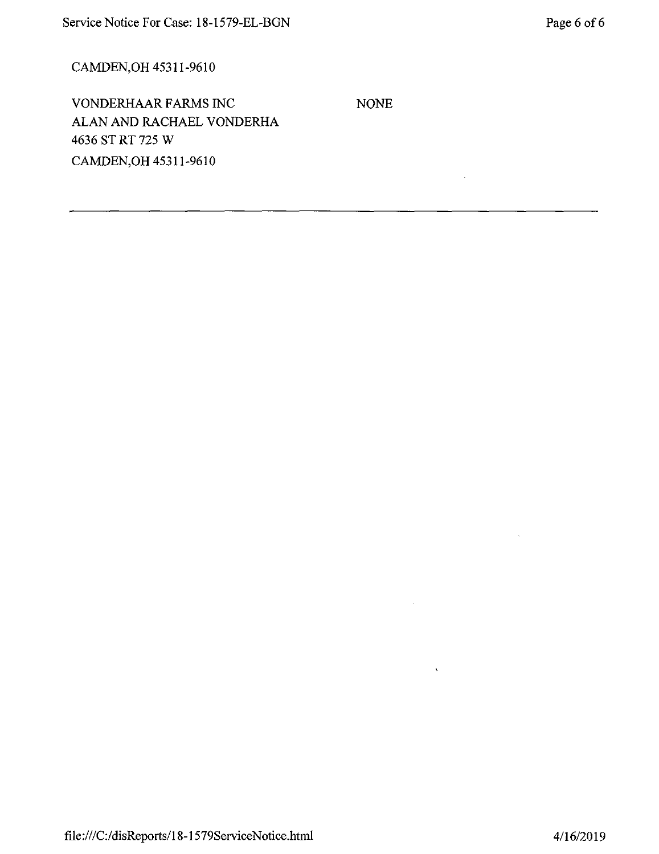# CAMDEN,OH 45311-9610

VONDERHAAR FARMS INC ALAN AND RACHAEL VONDERHA 4636 ST RT 725 W CAMDEN,OH 45311-9610

NONE

 $\hat{\mathcal{A}}$ 

 $\hat{\mathcal{A}}$ 

 $\mathcal{A}^{\mathcal{A}}$ 

 $\chi^2$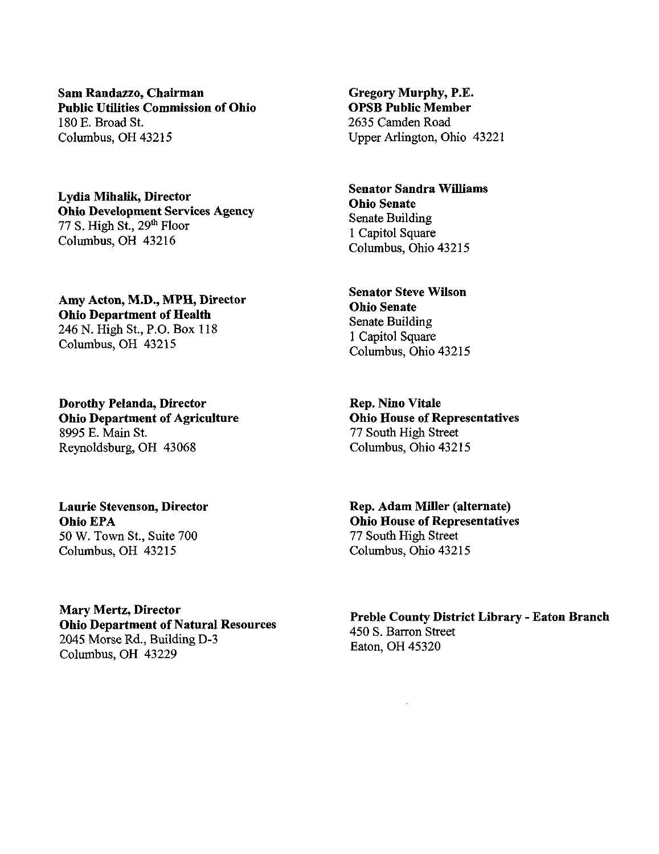**Sam Randazzo, Chairman Public Utilities Commission ofOhio** 180 E. Broad St. Columbus, OH 43215

**Lydia Mihalik, Director Ohio Development Services Agency** 77 S. High  $St.$ , 29<sup>th</sup> Floor Columbus, OH 43216

**Amy Acton, M.D., MPH, Director Ohio Department of Health** 246 N. High St, P.O. Box 118 Columbus, OH 43215

**Dorothy Pelanda, Director Ohio** Department of Agriculture 8995 E. Main St. Reynoldsburg, OH 43068

**Laurie Stevenson, Director Ohio EPA** 50 W. Town St., Suite 700 Columbus, OH 43215

**Mary Mertz, Director Ohio** Department of Natural Resources 2045 Morse Rd., Building D-3 Columbus, OH 43229

**Gregory Murphy, P.E. OPSB Public Member** 2635 Camden Road Upper Arlington, Ohio 43221

**Senator Sandra Williams Ohio Senate** Senate Building <sup>1</sup> Capitol Square Columbus, Ohio 43215

**Senator Steve Wilson Ohio Senate** Senate Building <sup>1</sup> Capitol Square Columbus, Ohio 43215

**Rep. Nino Vitale Ohio House** of **Representatives** 77 South High Street Columbus, Ohio 43215

**Rep. Adam Miller (alternate) Ohio House** of **Representatives** 77 South High Street Columbus, Ohio 43215

**Preble County District Library - Eaton Branch** 450 S. Barron Street Eaton, OH 45320